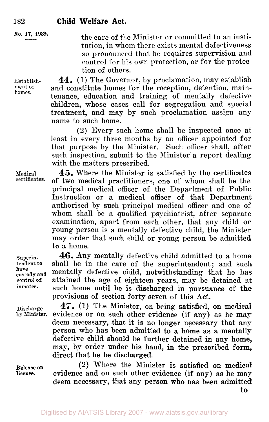name to such home.

**No. 17,**   $\frac{17}{12}$  1939. **1939.** 

Establish**ment** of homes.

control for his own protection, or for the protection of others. **44.** (1) The Governor, by proclamation, may establish and constitute homes for the reception, detention, maintenance, education and training of mentally defective children, whose cases call for segregation and special treatment, and may by such proclamation assign any

the care of the Minister or committed to an institution, in whom there exists mental defectiveness so pronounced that he requires supervision and

**(2)** Every such home shall be inspected once at least in every three months by an officer appointed for that purpose by the Minister. Such officer shall, after such inspection, submit to the Minister a report dealing with the matters prescribed.

**45.** Where the Minister is satisfied by the certificates of two medical practitioners, one of whom shall be the principal medical officer of the Department of Public Instruction or a medical officer of that Department authorised by such principal medical officer and one of whom shall be a qualified psychiatrist, after separate examination, apart from each other, that any child or young person is **a** mentally defective child, the Minister may order that such child or young person be admitted **to a** home.

**46. Any** mentally defective child admitted to a home shall be in the care of the superintendent; and such mentally defective child, notwithstanding that he has attained the age of eighteen years, may be detained at such home until he is discharged in pursuance of the provisions of section forty-seven of this Act.

**47.** (1) The Minister, on being satisfied, on medical evidence or on such other evidence (if any) as he may deem necessary, that it is no longer necessary that any **person** who has been admitted to a home as a mentally defective child should be further detained in any home, may, by order under his hand, **in** the prescribed form, direct that he be discharged.

**Release on license.** 

**(2)** Where the Minister is satisfied **on** medical evidence and on such other evidence (if **any)** as he **map**  deem necessary, that any person who has been admitted

**Superintendent to have custody and** 

**control of inmates.** 

**Medical** 

**Discharge by Minister.**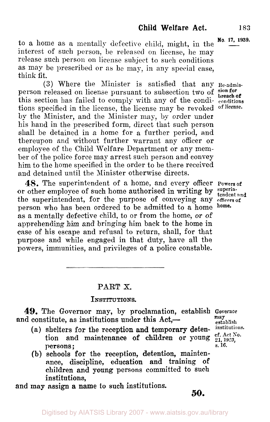to a home as a mentally defective child, might, in the interest of such person, be released on license, he may release such person on license subject to such conditions as may be prescribed or as he may, in any special case, think fit.

**(3)** Where the Minister is satisfied that any **Re-admis**person released on license pursuant to subsection two of sion for this section has failed to comply with any of the condi- **conditions**  tions specified in the license, the license may be revoked **of license**by the Minister, and the Minister may, by order under his hand in the prescribed form, direct that such person shall be detained in a home for a further period, and thereupon and without further warrant any officer or employee of the Child Welfare Department or any member of the police force may arrest such person and convey him to the home specified in the order to be there received and detained until the Minister otherwise directs.

**48.** The superintendent of a home, and every officer **Powers of**  or other employee of such home authorised in writing by superintendent and the superintendent, for the purpose of conveying any officers of **property** the part of  $\frac{1}{2}$  and  $\frac{1}{2}$  and  $\frac{1}{2}$  and  $\frac{1}{2}$  and  $\frac{1}{2}$  and  $\frac{1}{2}$  and  $\frac{1}{2}$  and  $\frac{1}{2}$  and  $\frac{1}{2}$  and  $\frac{1}{2}$ person who has been ordered to be admitted to a home **home. as** a mentally defective child, to or from the home, or of apprehending him and bringing him back to the home in case of his escape and refusal to return, shall, for that purpose and while engaged in that duty, have all the powers, immunities, and privileges of a police constable.

**No. 17, 1939.** 

#### **PART** X.

#### INSTITUTIONS.

**49.** The Governor may, by proclamation, establish **Governor establish and constitute, as institutions under this Act,--**<br>(a) shelters for the recention and temperary detentions institutions.

- (a) shelters **for** the reception and temporary deten tion and maintenance of children or young  $_{21, 1923, 0.51}^{\text{ct. Act No.}}$ <br>persons;<br>s. 16.
- (b) schools for the reception, detention, maintenance, discipline, education **and** training of children and young persons committed to such institutions,

and may assign **a** name to **such** institutions.

**may** 

*50.*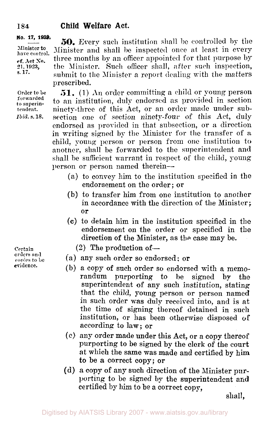# **184 Child Welfare Act.**

**cf. Act No. s. 17.**  *21,* **1923, No. 17, 1939. 50.** Every such institution shall be controlled by the Minister to Minister and shall be inspected once at least in every Minister to Minister and shall be inspected once at least in every

**Order to be forwarded**  *to* **superintendent.**  *Ibid.* **s. 18.** 

three months by an officer appointed for that purpose **by**  the Minister. Such officer shall, after such inspection, submit to the Minister a report dealing with the matters prescribed. **51.** (1) *An* order committing a child or young person to an institution, duly endorsed as provided in section ninety-three of this Act, or **an** order made under subsection one of section ninety-four **of** this Act, duly endorsed as provided in that subsection, or **a** direction in writing signed by the Minister for the transfer of *a,*  child, young person or person from one institution to

another, shall be forwarded to the superintendent and shall be sufficient warrant in respect of the child, young person or person named therein-

- (a.) to convey him to the institution specified in the endorsement on the order; or
- (b) to transfer him from one institution to another in accordance with the direction of the Minister ; or
- *(c)* to detain him in the institution specified in the endorsement on the order *or* specified in the direction of the Minister, as the case may be.
	- $(2)$  The production of  $-$
- (a) any such order so endorsed: or
- (b) *a* copy **of** such order so endorsed with a memorandum purporting to be signed by the superintendent **of** any such institution, stating that the child, young person or person named in such order was duly received into, and is at the time of signing thereof detained in such institution, or has been otherwise disposed of according to **law;** or
- (c) any order made under this Act, or **a** copy thereof purporting to be signed by the clerk **of** the court at which the same was made and certified by **him to** be a correct **copy;** or
- **(d)** a copy of any such direction of the Minister purporting to be signed by the superintendent **and**  certified by him to be a correct copy,

shall,

Certain orders **and**  copies to be **evidence.**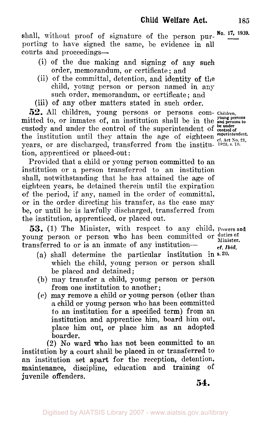shall, without proof of signature of the person pur- No. 17, 1939. porting to hare signed the same, be evidence in all courts and proceedings-

- (i) of the due making and signing of any such order, memorandum, or certificate ; and
- (ii) of the committal, detention, and identity of the child, young person or person named in any such order, memorandum, or certificate: and

(iii) of any other matters stated in such order,

*52.* All children, young persons or persons com- **Children,**  mitted to, or inmates of, an institution shall be in the **and persons** to the institution until they attain the age of eighteen years, or are discharged, transferred from the institu- **1923, s. 19.**  tion, apprenticed or placed-out : custody and under the control of the superintendent of **control** of

Provided that a child or young person committed to an institution or a person transferred to an institution shall, notwithstanding that he has attained the age of eighteen years, be detained therein until the expiration of the period, if any, named in the order of committal, or in the order directing his transfer, as the case may be, or until he is lawfully discharged, transferred from the institution, apprenticed. or placed out.

young person or person who has been committed or duties of Minister. transferred to or is an inmate of any institution- **53.** (1) The Minister, with respect to any child, **Powers and** 

- (a) shall determine the particular institution in **s. 20.**  which the child, young person or person shall be placed and detained;
- (b) may transfer a child, young person **or** person from one institution to another ;
- *(c)* may remove a child or young person (other than **a** child or young person who has been committed **to** an institution for a specified term) from an institution and apprentice him, board him out, place him out, or place him as **an** adopted boarder.

**(2)** No ward who has not been committed to an institution **by** a court shall be placed in or transferred to an institution set apart for the reception, detention, maintenance, discipline, education and training of juvenile offenders.

**be under Superintendent. of Act** No. **21,** 

**cf. Ibid.**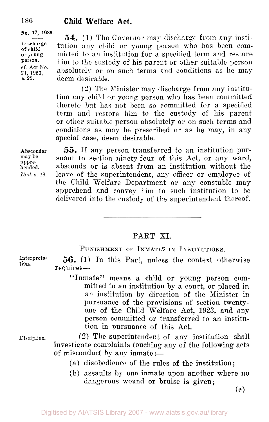Discharge or young person. cf. **Act** No. **21, 1923.**  s. **25.** 

**No. 17, 1939.**  $\overline{\mathbf{54}}$ , (1) The Governor may discharge from any institution any child or young person who has been committed to an institution for a specified term and restore him to the custody of his parent or other suitable person absolutely or on such terms and conditions as he may deem desirable.

> **(2)** The Minister may discharge from any institution any child or young person who has been committed thereto but has not been so committed for a specified term and restore him to the custody of his parent or other suitable person absolutely or on such terms and conditions as may be prescribed or as he may, in any special case, deem desirable.

Absconder may **be**  apprehended. *Ibid.* s. 28.

Interpreta**tion.** 

Discipline.

*55.* If any person transferred to an institution pursuant to section ninety-four of this Act, or any ward, absconds or is absent from an institution without the leave of the superintendent, any officer or employee of the Child Welfare Department or any constable may apprehend and convey him to such institution to be delivered into the custody of the superintendent thereof.

# PART XI.

PUNISHMENT OF INMATES IN INSTITUTIONS.

*56.* (1) In this Part, unless the context otherwise requires-

"Inmate" means a child or young person committed to an institution by a court, or placed in an institution by direction of the Minister in pursuance of the provisions of section twentyone of the Child Welfare Act, 1923, and **any**  person committed or transferred to an institution in pursuance of this Act.

**(2)** The superintendent of any institution shall investigate complaints touching any of the following acts of misconduct by any inmate :-

- **(a)** disobedience of the rules of the institution;
- (b) assaults *by* one inmate **upon** another **where no**  dangerous wound or bruise is given;

(c)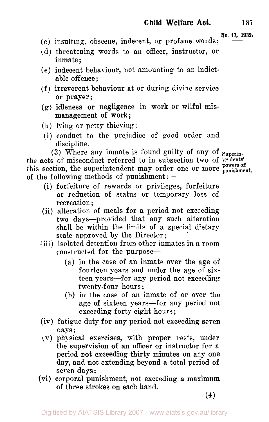- **NO. 17, 1939.**  (c) insulting, obscene, indecent, or profane words;
- (d) threatening words to an officer, instructor, **or**  inmate;
- (e) indecent behaviour, not amounting to an indict able offence;
- (f) irreverent behaviour at or during divine service or prayer;
- (g) idleness or negligence in **work** or wilful mis management of work ;
- (h) lying or petty thieving;
- (i) conduct to the prejudice of good order and discipline.

(3) Where any inmate is found guilty of any of Superinthe acts of misconduct referred to in subsection two of tendents' **powers** of this section, the superintendent may order one or more **punishment.**  of the following methods of punishment :-

- (i) forfeiture of rewards or privileges, forfeiture or reduction of status or temporary loss of recreation ;
- (ii) alteration of meals for a period not exceeding two days-provided that any such alteration shall be within the limits of a special dietary scale approved by the Director;
- (iii) isolated detention from other inmates in a room constructed for the purpose—
	- (a) in the case of an inmate over the age of fourteen years and under the age of sixteen years-€or any period not exceeding twenty-four hours ;
	- (b) in the case of an inmate of or over the age of sixteen years-for any period not exceeding forty-eight hours ;
- (iv) fatigue duty for any period not exceeding seven days ;
- (v) physical exercises, with proper rests, under the supervision of an officer or instructor for **a**  period not exceeding thirty minutes on any one day, and not extending beyond a total period of seven days;
- (vi) corporal punishment, not exceeding a maximum **of** three strokes on each hand.

**(4)**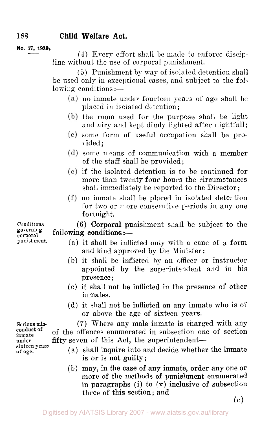## **1388 Child Welfare Act.**

**No. 17, 1939.** 

**(4)** Every effort shall be made to enforce discipline without the use of corporal punishment.

(5) Punishment by way of isolated detention shall be used only in exceptional cases, and subject to the fol $lowing$  conditions :—

- (a) no inmate under fourteen years of age shall be placed in isolated detention;
- $(b)$  the room used for the purpose shall be light and airy and kept dimly lighted after nightfall;
- some form of useful occupation shall be provided;
- some means of communication with a member of the staff shall be provided;
- $(e)$  if the isolated detention is to be continued for more than twenty-four hours the circumstances shall immediately be reported to the Director;
- no inmate shall be placed in isolated detention for two or more consecutive periods in any one fortnight.

 $g_{\text{corporting}}$  following conditions :-(6) Corporal punishment shall be subject to the

- (a) it shall be inflicted only with a cane of a form and kind approved by the Minister;
- (b) it shall be inflicted by an officer or instructor appointed by the superintendent and in his presence ;
- (c) it shall not be inflicted in the presence of other inmates.
- (d) it shall not be inflicted on any inmate who is of or above the age of sixteen years.

**(7)** Where any male inmate is charged with any of the offences enumerated in subsection one of section fifty-seven of this Act, the superintendent-

- (a) shall inquire into and decide whether the inmate is **or** is not guilty;
- (b) may, in the case **of** any inmate, order any one or more of the methods of punishment enumerated in paragraphs (i) to **(v)** inclusive of subsection three of this section; and

*(c)* 

Conditions governing punishment.

Serious mis-<br>conduct of inmate **of under**  sixteen **years of age.**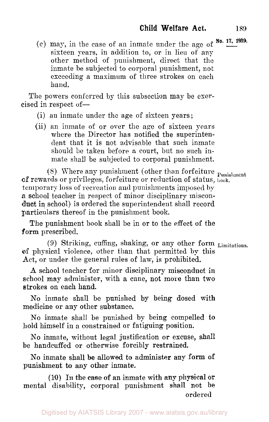**No. 17, 1939.** (c) may, iii the case of an inmate under the age of sixteen years, in addition to, or in lieu of any other method of punishment, direct that the inmate be subjected to corporal punishment, not exceeding a maximum of three strokes on each **hand.** 

The powers conferred by this subsection may be exercised in respect of-

- (i) an inmate under the **age** of sixteen years;
- (ii) an inmate of or over the age of sixteen years where the Director has notified the superintendent that it is not advisable that such inmate should be taken before a court, but no such inmate shall be subjected to corporal punishment.

(8) Where any punishment (other than forfeiture  $_{\text{Punislment}}$ of rewards or privileges, forfeiture or reduction of status, book. temporary loss of recreation and punishments imposed by **a** school teacher in respect of minor disciplinary misconduct in school) is ordered the superintendent shall record particulars thereof in the punishment book.

The punishment book shall be in or to the effect of the form prescribed.

(9) Striking, cuffing, shaking, or any other form Limitations. of physical violence, other than that permitted by this Act, or under the general rules of law, is prohibited.

**A** school teacher for minor disciplinary misconduct in school may administer, with a cane, not more than two strokes on each hand.

No inmate shall be punished by being dosed with medicine or any other substance.

No inmate shall be punished by being compelled to hold himself in a constrained or fatiguing position.

No inmate, without legal justification or excuse, shall be handcuffed or otherwise forcibly restrained.

No inmate shall **be allowed** to administer any form of punishment to any **other** inmate.

**(10)** In **the** case **of an** inmate with **any** physical or mental disability, corporal punishment shall not be ordered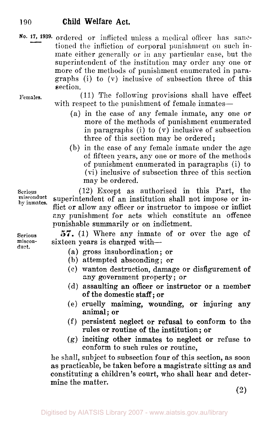#### **190 Child Welfare Act.**

**No. 17, 17, 1939.** ordered or inflicted unless a medical officer has sanctioned the infliction of corporal punishment on such inmate either generally or in any particular case, but the superintendent of the institution may order any one or more of the methods of punishment enumerated in paragraphs (i) to **(v)** inclusive of subsection three of this section.

**Females.** 

(11) The following provisions shall have effect with respect to the punishment of female inmates—

- **(a)** in the case of any female inmate, any one or more of the methods of punishment enumerated in paragraphs (i) to  $(v)$  inclusive of subsection three of this section may be ordered;
- (b) in the case of any female inmate under the age of fifteen years, any one or more of the methods of punishment enumerated in paragraphs (i) to (vi) inclusive of subsection three of this section may be ordered.

**Serious (12)** Except as authorised in this Part, the superintendent of an institution shall not impose or inflict or allow any officer or instructor to impose **or** inflict any punishment for acts which constitute an offence punishable summarily or on indictment.

> *57.* (1) Where any inmate of or over the age **OF**  sixteen years is charged with-

- (a) gross insubordination ; or
- (b) attempted absconding; or
- (c) wanton destruction, damage or disfigurement of **any** government property; **or**
- (d) assaulting an officer **or** instructor or a member of the domestic staff; **or**
- (e) cruelly maiming, wounding, or injuring any animal; or
- (f) persistent neglect or refusal to conform to the rules **or** routine of the institution; or
- (g) inciting other inmates to neglect or refuse to conform to such rules or routine,

he shall, subject to subsection four of this section, as soon as practicable, be taken before a magistrate sitting **as** and constituting a children's court, who shall hear and determine the matter.

**(2)** 

**Serious misconduet.** 

by **inmates.**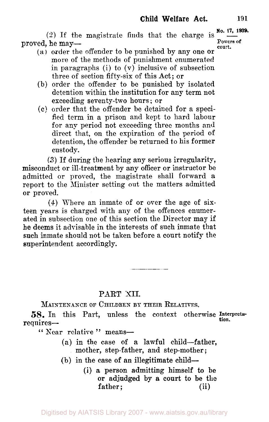*(2)* If the magistrate finds that the charge is proved, he may—

- **court.**  (a) order the offender to be punished by any one or more of the methods of punishment enumerated in paragraphs (i) to  $(v)$  inclusive of subsection three of section fifty-six of this Act ; or
- (b) order the offender to be punished by isolated detention within the institution for any term not exceeding seventy-two hours ; or
- (c) order that the offender be detained for a specified term in a prison and kept to hard labour for any period not exceeding three months and direct that, on the expiration of the period of detention, the offender be returned to his former custody.

*(3)* If during the hearing any serious irregularity, misconduct or ill-treatment by any officer or instructor be admitted or proved, the magistrate shall forward **a**  report to the Minister setting out the matters admitted or proved.

**(4)** Where an inmate of or over the age of sixteen years is charged with any of the offences enumerated in subsection one of this section the Director may if he deems it advisable in the interests of such inmate that such inmate should not be taken before a court notify the superintendent accordingly.

### PART **XII.**

MAINTENANCE **OF** CHILDREN **BY** THEIR RELATIVES.

58. In this Part, unless the context otherwise Interpreta-<br>requires-

" Near relative" means-

- (a) in the case of *a* lawful child-father, mother, step-father, and step-mother ;
- (b) in the case **of an** illegitimate child-
	- **(i)** a person admitting himself to be or adjudged by **a court** to be **the**  father; (ii)

**Powers of**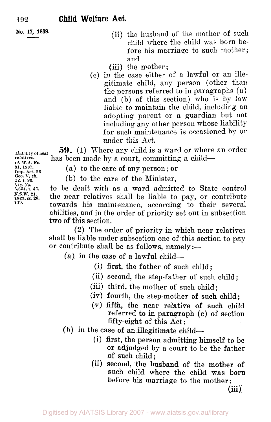**No. 17, 1939.** 

- (ii) the husband of the mother of such child where the child vas born before his marriage to such mother; and
- (iii) the mother;
- (c) in the case either of a lawful or an illegitimate child, any person (other than the persons referred to in paragraphs **(a)**  and (b) of this section) who is by law liable to maintain the child, including an adopting parent or a guardian but not including any other person whose liability for such maintenance is occasioned by or under this Act.

*59.* (1) Where any child is a ward or where an order **Liability of near**  has been made by a court, committing a child-

(a) to the care of any person; or

(b) to the care of the Minister,

**3,654, s.45.** to be dealt with as a ward admitted to State control the near relatives shall be liable to pay, or contribute towards his maintenance, according to their several abilities, and in the order of priority set out in subsection two of this section.

**(2)** The order of priority in which near relatives shall be liable under subsection one of this section to pay or contribute shall be as follows,  $name{ly:}-$ 

 $(a)$  in the case of a lawful child-

- (i) first, the father of such child;
- (ii) second, the step-father of such child;
- (iii) third, the mother of such child;
- (iv) fourth, the step-mother of such child;
- **(V) fifth, the** near relative of such child referred **to** in paragraph (c) of section fifty-eight of this Act;
- **(b)** in the case of an illegitimate child-
	- **(i)** first, the person admitting himself to be or adjudged by a court to be the father of such child;
	- (ii) second, the husband of the mother of such child where the child was born before his marriage to the mother:

**(iii)** 

**relatives. 31, 1907. Imp. Act. 23**  *Geo.* **V, ch. cf. W.A. No.**  *12,* **s. 86. Vic. No. N.S.W. 21.**  *119.*